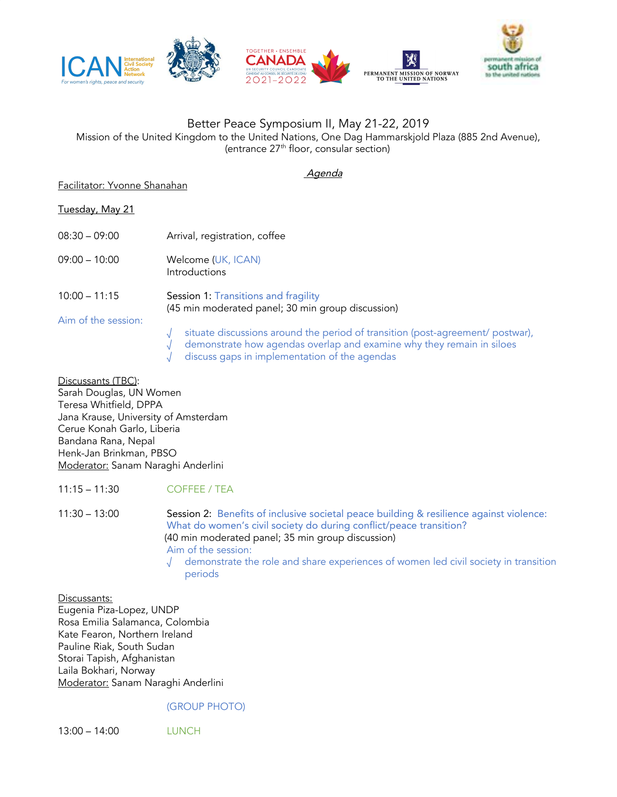

## Better Peace Symposium II, May 21-22, 2019

Mission of the United Kingdom to the United Nations, One Dag Hammarskjold Plaza (885 2nd Avenue), (entrance 27 th floor, consular section)

#### Agenda

### Facilitator: Yvonne Shanahan

# Tuesday, May 21

| $08:30 - 09:00$     | Arrival, registration, coffee                                                                                                                                                                            |
|---------------------|----------------------------------------------------------------------------------------------------------------------------------------------------------------------------------------------------------|
| $09:00 - 10:00$     | Welcome (UK, ICAN)<br>Introductions                                                                                                                                                                      |
| $10:00 - 11:15$     | Session 1: Transitions and fragility<br>(45 min moderated panel; 30 min group discussion)                                                                                                                |
| Aim of the session: | situate discussions around the period of transition (post-agreement/ postwar),<br>demonstrate how agendas overlap and examine why they remain in siloes<br>discuss gaps in implementation of the agendas |

Discussants (TBC): Sarah Douglas, UN Women Teresa Whitfield, DPPA Jana Krause, University of Amsterdam Cerue Konah Garlo, Liberia Bandana Rana, Nepal Henk-Jan Brinkman, PBSO Moderator: Sanam Naraghi Anderlini

### 11:15 – 11:30 COFFEE / TEA

11:30 – 13:00 Session 2: Benefits of inclusive societal peace building & resilience against violence: What do women's civil society do during conflict/peace transition? (40 min moderated panel; 35 min group discussion) Aim of the session: √ demonstrate the role and share experiences of women led civil society in transition periods

Discussants: Eugenia Piza-Lopez, UNDP Rosa Emilia Salamanca, Colombia Kate Fearon, Northern Ireland Pauline Riak, South Sudan Storai Tapish, Afghanistan Laila Bokhari, Norway Moderator: Sanam Naraghi Anderlini

### (GROUP PHOTO)

13:00 – 14:00 LUNCH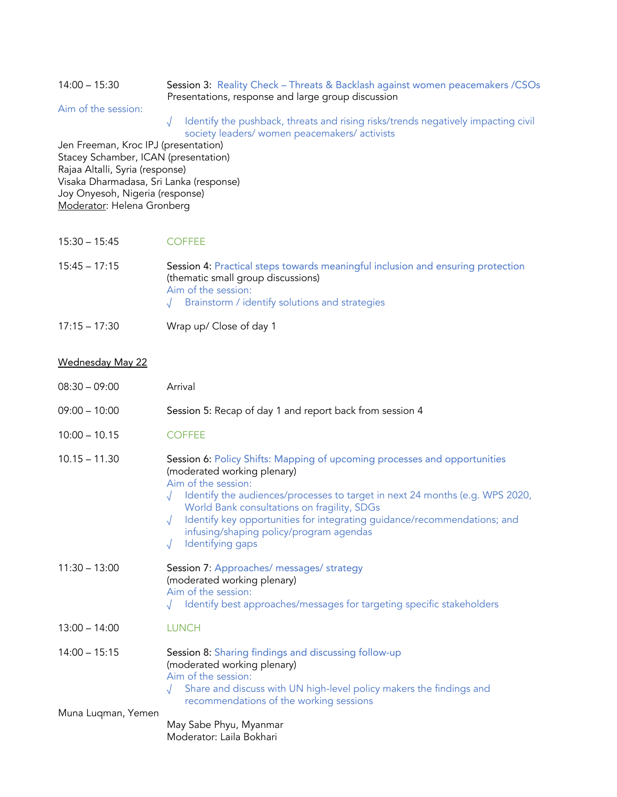#### 14:00 – 15:30 Session 3: Reality Check – Threats & Backlash against women peacemakers /CSOs Presentations, response and large group discussion

Aim of the session:

√ Identify the pushback, threats and rising risks/trends negatively impacting civil society leaders/ women peacemakers/ activists

Jen Freeman, Kroc IPJ (presentation) Stacey Schamber, ICAN (presentation) Rajaa Altalli, Syria (response) Visaka Dharmadasa, Sri Lanka (response) Joy Onyesoh, Nigeria (response) Moderator: Helena Gronberg

15:30 – 15:45 COFFEE

| $15:45 - 17:15$ | Session 4: Practical steps towards meaningful inclusion and ensuring protection<br>(thematic small group discussions) |
|-----------------|-----------------------------------------------------------------------------------------------------------------------|
|                 | Aim of the session:                                                                                                   |
|                 | $\sqrt{\phantom{a}}$ Brainstorm / identify solutions and strategies                                                   |

17:15 – 17:30 Wrap up/ Close of day 1

### Wednesday May 22

| $08:30 - 09:00$    | Arrival                                                                                                                                                                                                                                                                                                                                                                                                                               |
|--------------------|---------------------------------------------------------------------------------------------------------------------------------------------------------------------------------------------------------------------------------------------------------------------------------------------------------------------------------------------------------------------------------------------------------------------------------------|
| $09:00 - 10:00$    | Session 5: Recap of day 1 and report back from session 4                                                                                                                                                                                                                                                                                                                                                                              |
| $10:00 - 10.15$    | <b>COFFEE</b>                                                                                                                                                                                                                                                                                                                                                                                                                         |
| $10.15 - 11.30$    | Session 6: Policy Shifts: Mapping of upcoming processes and opportunities<br>(moderated working plenary)<br>Aim of the session:<br>Identify the audiences/processes to target in next 24 months (e.g. WPS 2020,<br>World Bank consultations on fragility, SDGs<br>Identify key opportunities for integrating guidance/recommendations; and<br>$\sqrt{ }$<br>infusing/shaping policy/program agendas<br>Identifying gaps<br>$\sqrt{ }$ |
| $11:30 - 13:00$    | Session 7: Approaches/ messages/ strategy<br>(moderated working plenary)<br>Aim of the session:<br>Identify best approaches/messages for targeting specific stakeholders                                                                                                                                                                                                                                                              |
| $13:00 - 14:00$    | <b>LUNCH</b>                                                                                                                                                                                                                                                                                                                                                                                                                          |
| $14:00 - 15:15$    | Session 8: Sharing findings and discussing follow-up<br>(moderated working plenary)<br>Aim of the session:<br>Share and discuss with UN high-level policy makers the findings and<br>recommendations of the working sessions                                                                                                                                                                                                          |
| Muna Luqman, Yemen | May Sabe Phyu, Myanmar<br>Moderator: Laila Bokhari                                                                                                                                                                                                                                                                                                                                                                                    |